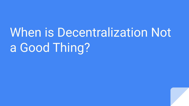## When is Decentralization Not a Good Thing?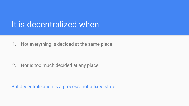#### It is decentralized when

1. Not everything is decided at the same place

2. Nor is too much decided at any place

But decentralization is a process, not a fixed state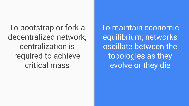To bootstrap or fork a decentralized network, centralization is required to achieve critical mass

To maintain economic equilibrium, networks oscillate between the topologies as they evolve or they die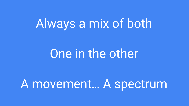## Always a mix of both

### One in the other

### A movement… A spectrum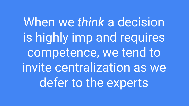When we *think* a decision is highly imp and requires competence, we tend to invite centralization as we defer to the experts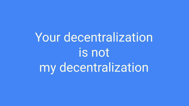# Your decentralization is not my decentralization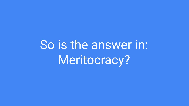So is the answer in: Meritocracy?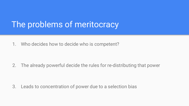#### The problems of meritocracy

1. Who decides how to decide who is competent?

2. The already powerful decide the rules for re-distributing that power

3. Leads to concentration of power due to a selection bias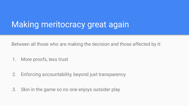#### Making meritocracy great again

Between all those who are making the decision and those affected by it:

- 1. More proofs, less trust
- 2. Enforcing accountability, beyond just transparency
- 3. Skin in the game so no one enjoys outsider play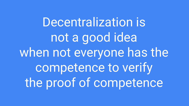Decentralization is not a good idea when not everyone has the competence to verify the proof of competence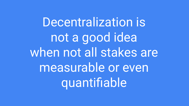Decentralization is not a good idea when not all stakes are measurable or even quantifiable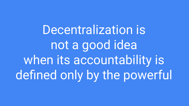Decentralization is not a good idea when its accountability is defined only by the powerful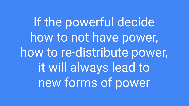If the powerful decide how to not have power, how to re-distribute power, it will always lead to new forms of power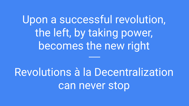Upon a successful revolution, the left, by taking power, becomes the new right

Revolutions à la Decentralization can never stop